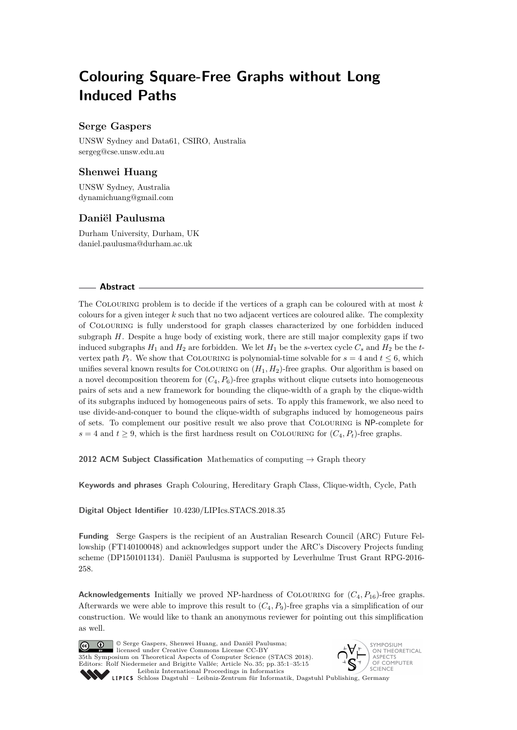# **Colouring Square-Free Graphs without Long Induced Paths**

## **Serge Gaspers**

UNSW Sydney and Data61, CSIRO, Australia [sergeg@cse.unsw.edu.au](mailto:sergeg@cse.unsw.edu.au)

# **Shenwei Huang**

UNSW Sydney, Australia [dynamichuang@gmail.com](mailto:dynamichuang@gmail.com)

## **Daniël Paulusma**

Durham University, Durham, UK [daniel.paulusma@durham.ac.uk](mailto:daniel.paulusma@durham.ac.uk)

#### **Abstract**

The Colouring problem is to decide if the vertices of a graph can be coloured with at most *k* colours for a given integer *k* such that no two adjacent vertices are coloured alike. The complexity of Colouring is fully understood for graph classes characterized by one forbidden induced subgraph *H*. Despite a huge body of existing work, there are still major complexity gaps if two induced subgraphs  $H_1$  and  $H_2$  are forbidden. We let  $H_1$  be the *s*-vertex cycle  $C_s$  and  $H_2$  be the *t*vertex path  $P_t$ . We show that COLOURING is polynomial-time solvable for  $s = 4$  and  $t \leq 6$ , which unifies several known results for COLOURING on  $(H_1, H_2)$ -free graphs. Our algorithm is based on a novel decomposition theorem for  $(C_4, P_6)$ -free graphs without clique cutsets into homogeneous pairs of sets and a new framework for bounding the clique-width of a graph by the clique-width of its subgraphs induced by homogeneous pairs of sets. To apply this framework, we also need to use divide-and-conquer to bound the clique-width of subgraphs induced by homogeneous pairs of sets. To complement our positive result we also prove that Colouring is NP-complete for  $s = 4$  and  $t > 9$ , which is the first hardness result on COLOURING for  $(C_4, P_t)$ -free graphs.

**2012 ACM Subject Classification** Mathematics of computing → Graph theory

**Keywords and phrases** Graph Colouring, Hereditary Graph Class, Clique-width, Cycle, Path

**Digital Object Identifier** [10.4230/LIPIcs.STACS.2018.35](http://dx.doi.org/10.4230/LIPIcs.STACS.2018.35)

**Funding** Serge Gaspers is the recipient of an Australian Research Council (ARC) Future Fellowship (FT140100048) and acknowledges support under the ARC's Discovery Projects funding scheme (DP150101134). Daniël Paulusma is supported by Leverhulme Trust Grant RPG-2016- 258.

**Acknowledgements** Initially we proved NP-hardness of COLOURING for  $(C_4, P_{16})$ -free graphs. Afterwards we were able to improve this result to  $(C_4, P_9)$ -free graphs via a simplification of our construction. We would like to thank an anonymous reviewer for pointing out this simplification as well.



© Serge Gaspers, Shenwei Huang, and Daniël Paulusma; licensed under Creative Commons License CC-BY 35th Symposium on Theoretical Aspects of Computer Science (STACS 2018). Editors: Rolf Niedermeier and Brigitte Vallée; Article No. 35; pp. 35:1–35[:15](#page-14-0) [Leibniz International Proceedings in Informatics](http://www.dagstuhl.de/lipics/)



Leibniz international rividentiigs in miorimetrix<br>
LIPICS [Schloss Dagstuhl – Leibniz-Zentrum für Informatik, Dagstuhl Publishing, Germany](http://www.dagstuhl.de)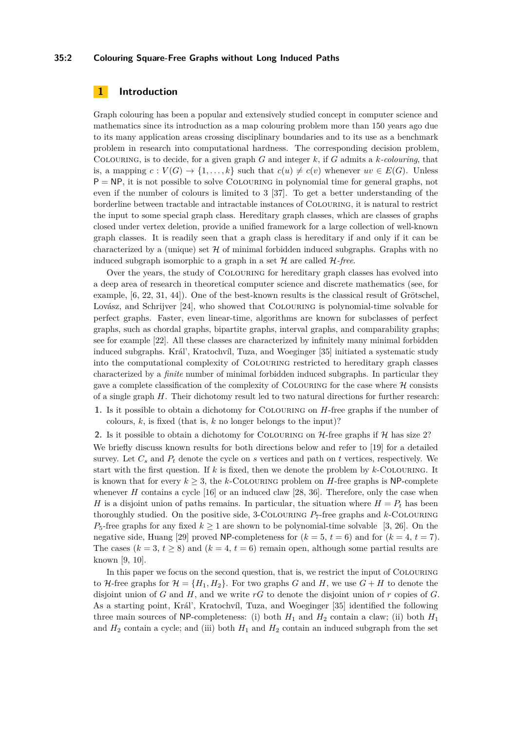## **35:2 Colouring Square-Free Graphs without Long Induced Paths**

## **1 Introduction**

Graph colouring has been a popular and extensively studied concept in computer science and mathematics since its introduction as a map colouring problem more than 150 years ago due to its many application areas crossing disciplinary boundaries and to its use as a benchmark problem in research into computational hardness. The corresponding decision problem, Colouring, is to decide, for a given graph *G* and integer *k*, if *G* admits a *k-colouring*, that is, a mapping  $c: V(G) \to \{1, \ldots, k\}$  such that  $c(u) \neq c(v)$  whenever  $uv \in E(G)$ . Unless  $P = NP$ , it is not possible to solve COLOURING in polynomial time for general graphs, not even if the number of colours is limited to 3 [\[37\]](#page-14-1). To get a better understanding of the borderline between tractable and intractable instances of Colouring, it is natural to restrict the input to some special graph class. Hereditary graph classes, which are classes of graphs closed under vertex deletion, provide a unified framework for a large collection of well-known graph classes. It is readily seen that a graph class is hereditary if and only if it can be characterized by a (unique) set  $H$  of minimal forbidden induced subgraphs. Graphs with no induced subgraph isomorphic to a graph in a set  $H$  are called  $H$ -free.

Over the years, the study of Colouring for hereditary graph classes has evolved into a deep area of research in theoretical computer science and discrete mathematics (see, for example, [\[6,](#page-12-0) [22,](#page-13-0) [31,](#page-13-1) [44\]](#page-14-2)). One of the best-known results is the classical result of Grötschel, Lovász, and Schrijver [\[24\]](#page-13-2), who showed that Colouring is polynomial-time solvable for perfect graphs. Faster, even linear-time, algorithms are known for subclasses of perfect graphs, such as chordal graphs, bipartite graphs, interval graphs, and comparability graphs; see for example [\[22\]](#page-13-0). All these classes are characterized by infinitely many minimal forbidden induced subgraphs. Král', Kratochvíl, Tuza, and Woeginger [\[35\]](#page-13-3) initiated a systematic study into the computational complexity of Colouring restricted to hereditary graph classes characterized by a *finite* number of minimal forbidden induced subgraphs. In particular they gave a complete classification of the complexity of COLOURING for the case where  $H$  consists of a single graph *H*. Their dichotomy result led to two natural directions for further research:

**1.** Is it possible to obtain a dichotomy for Colouring on *H*-free graphs if the number of colours,  $k$ , is fixed (that is,  $k$  no longer belongs to the input)?

**2.** Is it possible to obtain a dichotomy for COLOURING on  $H$ -free graphs if  $H$  has size 2? We briefly discuss known results for both directions below and refer to [\[19\]](#page-13-4) for a detailed survey. Let  $C_s$  and  $P_t$  denote the cycle on  $s$  vertices and path on  $t$  vertices, respectively. We start with the first question. If *k* is fixed, then we denote the problem by *k*-Colouring. It is known that for every  $k > 3$ , the *k*-COLOURING problem on *H*-free graphs is NP-complete whenever  $H$  contains a cycle  $[16]$  or an induced claw  $[28, 36]$  $[28, 36]$  $[28, 36]$ . Therefore, only the case when *H* is a disjoint union of paths remains. In particular, the situation where  $H = P_t$  has been thoroughly studied. On the positive side, 3-COLOURING  $P_7$ -free graphs and  $k$ -COLOURING  $P_5$ -free graphs for any fixed  $k \ge 1$  are shown to be polynomial-time solvable [\[3,](#page-12-1) [26\]](#page-13-8). On the negative side, Huang [\[29\]](#page-13-9) proved NP-completeness for  $(k = 5, t = 6)$  and for  $(k = 4, t = 7)$ . The cases  $(k = 3, t \ge 8)$  and  $(k = 4, t = 6)$  remain open, although some partial results are known [\[9,](#page-12-2) [10\]](#page-12-3).

In this paper we focus on the second question, that is, we restrict the input of Colouring to H-free graphs for  $\mathcal{H} = \{H_1, H_2\}$ . For two graphs *G* and *H*, we use  $G + H$  to denote the disjoint union of  $G$  and  $H$ , and we write  $rG$  to denote the disjoint union of  $r$  copies of  $G$ . As a starting point, Král', Kratochvíl, Tuza, and Woeginger [\[35\]](#page-13-3) identified the following three main sources of NP-completeness: (i) both  $H_1$  and  $H_2$  contain a claw; (ii) both  $H_1$ and  $H_2$  contain a cycle; and (iii) both  $H_1$  and  $H_2$  contain an induced subgraph from the set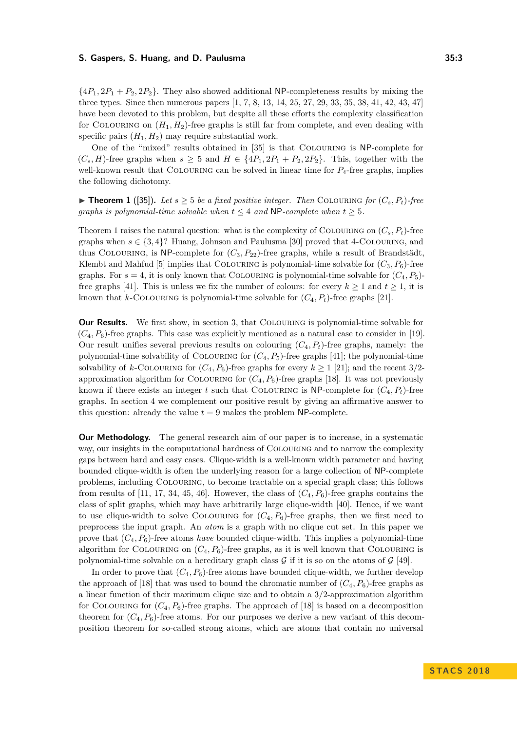$\{4P_1, 2P_1 + P_2, 2P_2\}$ . They also showed additional NP-completeness results by mixing the three types. Since then numerous papers [\[1,](#page-12-4) [7,](#page-12-5) [8,](#page-12-6) [13,](#page-12-7) [14,](#page-13-10) [25,](#page-13-11) [27,](#page-13-12) [29,](#page-13-9) [33,](#page-13-13) [35,](#page-13-3) [38,](#page-14-3) [41,](#page-14-4) [42,](#page-14-5) [43,](#page-14-6) [47\]](#page-14-7) have been devoted to this problem, but despite all these efforts the complexity classification for COLOURING on  $(H_1, H_2)$ -free graphs is still far from complete, and even dealing with specific pairs  $(H_1, H_2)$  may require substantial work.

One of the "mixed" results obtained in [\[35\]](#page-13-3) is that Colouring is NP-complete for  $(C_s, H)$ -free graphs when  $s \geq 5$  and  $H \in \{4P_1, 2P_1 + P_2, 2P_2\}$ . This, together with the well-known result that COLOURING can be solved in linear time for  $P_4$ -free graphs, implies the following dichotomy.

<span id="page-2-0"></span>▶ **Theorem 1** ([\[35\]](#page-13-3)). Let  $s \geq 5$  be a fixed positive integer. Then COLOURING for  $(C_s, P_t)$ -free *graphs is polynomial-time solvable when*  $t \leq 4$  *and* NP*-complete when*  $t \geq 5$ *.* 

[Theorem 1](#page-2-0) raises the natural question: what is the complexity of COLOURING on  $(C_s, P_t)$ -free graphs when  $s \in \{3, 4\}$ ? Huang, Johnson and Paulusma [\[30\]](#page-13-14) proved that 4-COLOURING, and thus COLOURING, is NP-complete for  $(C_3, P_{22})$ -free graphs, while a result of Brandstädt, Klembt and Mahfud [\[5\]](#page-12-8) implies that COLOURING is polynomial-time solvable for  $(C_3, P_6)$ -free graphs. For  $s = 4$ , it is only known that COLOURING is polynomial-time solvable for  $(C_4, P_5)$ -free graphs [\[41\]](#page-14-4). This is unless we fix the number of colours: for every  $k \geq 1$  and  $t \geq 1$ , it is known that *k*-COLOURING is polynomial-time solvable for  $(C_4, P_t)$ -free graphs [\[21\]](#page-13-15).

**Our Results.** We first show, in [section 3,](#page-4-0) that COLOURING is polynomial-time solvable for  $(C_4, P_6)$ -free graphs. This case was explicitly mentioned as a natural case to consider in [\[19\]](#page-13-4). Our result unifies several previous results on colouring  $(C_4, P_t)$ -free graphs, namely: the polynomial-time solvability of COLOURING for  $(C_4, P_5)$ -free graphs [\[41\]](#page-14-4); the polynomial-time solvability of *k*-COLOURING for  $(C_4, P_6)$ -free graphs for every  $k \ge 1$  [\[21\]](#page-13-15); and the recent 3/2approximation algorithm for COLOURING for  $(C_4, P_6)$ -free graphs [\[18\]](#page-13-16). It was not previously known if there exists an integer *t* such that COLOURING is NP-complete for  $(C_4, P_t)$ -free graphs. In [section 4](#page-11-0) we complement our positive result by giving an affirmative answer to this question: already the value  $t = 9$  makes the problem NP-complete.

**Our Methodology.** The general research aim of our paper is to increase, in a systematic way, our insights in the computational hardness of Colouring and to narrow the complexity gaps between hard and easy cases. Clique-width is a well-known width parameter and having bounded clique-width is often the underlying reason for a large collection of NP-complete problems, including Colouring, to become tractable on a special graph class; this follows from results of [\[11,](#page-12-9) [17,](#page-13-17) [34,](#page-13-18) [45,](#page-14-8) [46\]](#page-14-9). However, the class of  $(C_4, P_6)$ -free graphs contains the class of split graphs, which may have arbitrarily large clique-width [\[40\]](#page-14-10). Hence, if we want to use clique-width to solve COLOURING for  $(C_4, P_6)$ -free graphs, then we first need to preprocess the input graph. An *atom* is a graph with no clique cut set. In this paper we prove that  $(C_4, P_6)$ -free atoms *have* bounded clique-width. This implies a polynomial-time algorithm for COLOURING on  $(C_4, P_6)$ -free graphs, as it is well known that COLOURING is polynomial-time solvable on a hereditary graph class  $G$  if it is so on the atoms of  $G$  [\[49\]](#page-14-11).

In order to prove that  $(C_4, P_6)$ -free atoms have bounded clique-width, we further develop the approach of [\[18\]](#page-13-16) that was used to bound the chromatic number of  $(C_4, P_6)$ -free graphs as a linear function of their maximum clique size and to obtain a 3*/*2-approximation algorithm for COLOURING for  $(C_4, P_6)$ -free graphs. The approach of [\[18\]](#page-13-16) is based on a decomposition theorem for  $(C_4, P_6)$ -free atoms. For our purposes we derive a new variant of this decomposition theorem for so-called strong atoms, which are atoms that contain no universal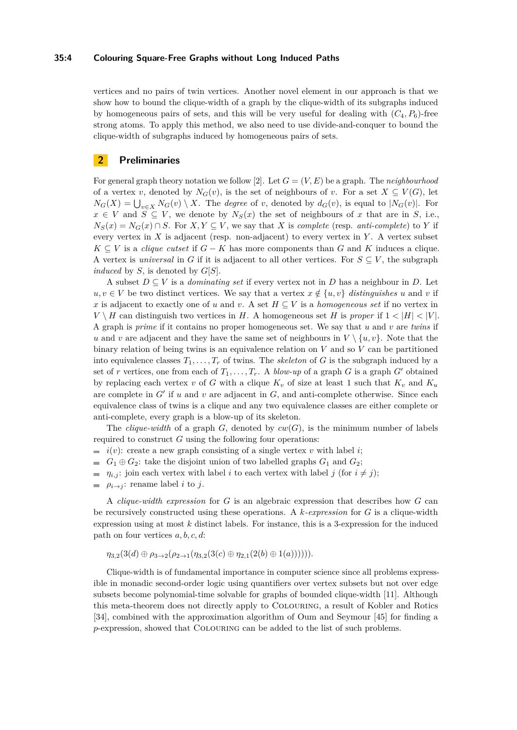### **35:4 Colouring Square-Free Graphs without Long Induced Paths**

vertices and no pairs of twin vertices. Another novel element in our approach is that we show how to bound the clique-width of a graph by the clique-width of its subgraphs induced by homogeneous pairs of sets, and this will be very useful for dealing with  $(C_4, P_6)$ -free strong atoms. To apply this method, we also need to use divide-and-conquer to bound the clique-width of subgraphs induced by homogeneous pairs of sets.

## **2 Preliminaries**

For general graph theory notation we follow [\[2\]](#page-12-10). Let  $G = (V, E)$  be a graph. The *neighbourhood* of a vertex *v*, denoted by  $N_G(v)$ , is the set of neighbours of *v*. For a set  $X \subseteq V(G)$ , let  $N_G(X) = \bigcup_{v \in X} N_G(v) \setminus X$ . The *degree* of *v*, denoted by  $d_G(v)$ , is equal to  $|N_G(v)|$ . For  $x \in V$  and  $S \subseteq V$ , we denote by  $N_S(x)$  the set of neighbours of *x* that are in *S*, i.e.,  $N_S(x) = N_G(x) \cap S$ . For  $X, Y \subseteq V$ , we say that *X* is *complete* (resp. *anti-complete*) to *Y* if every vertex in *X* is adjacent (resp. non-adjacent) to every vertex in *Y* . A vertex subset  $K \subseteq V$  is a *clique cutset* if  $G - K$  has more components than  $G$  and  $K$  induces a clique. A vertex is *universal* in *G* if it is adjacent to all other vertices. For  $S \subseteq V$ , the subgraph *induced* by *S*, is denoted by *G*[*S*].

A subset  $D \subseteq V$  is a *dominating set* if every vertex not in *D* has a neighbour in *D*. Let *u, v* ∈ *V* be two distinct vertices. We say that a vertex  $x \notin \{u, v\}$  *distinguishes u* and *v* if *x* is adjacent to exactly one of *u* and *v*. A set  $H \subseteq V$  is a *homogeneous set* if no vertex in  $V \setminus H$  can distinguish two vertices in *H*. A homogeneous set *H* is *proper* if  $1 < |H| < |V|$ . A graph is *prime* if it contains no proper homogeneous set. We say that *u* and *v* are *twins* if *u* and *v* are adjacent and they have the same set of neighbours in  $V \setminus \{u, v\}$ . Note that the binary relation of being twins is an equivalence relation on *V* and so *V* can be partitioned into equivalence classes  $T_1, \ldots, T_r$  of twins. The *skeleton* of *G* is the subgraph induced by a set of *r* vertices, one from each of  $T_1, \ldots, T_r$ . A *blow-up* of a graph *G* is a graph *G'* obtained by replacing each vertex  $v$  of  $G$  with a clique  $K_v$  of size at least 1 such that  $K_v$  and  $K_u$ are complete in  $G'$  if  $u$  and  $v$  are adjacent in  $G$ , and anti-complete otherwise. Since each equivalence class of twins is a clique and any two equivalence classes are either complete or anti-complete, every graph is a blow-up of its skeleton.

The *clique-width* of a graph *G*, denoted by  $cw(G)$ , is the minimum number of labels required to construct *G* using the following four operations:

- $i(v)$ : create a new graph consisting of a single vertex *v* with label *i*;
- *G*<sub>1</sub>  $\oplus$  *G*<sub>2</sub>: take the disjoint union of two labelled graphs *G*<sub>1</sub> and *G*<sub>2</sub>;
- $= \eta_{i,j}$ : join each vertex with label *i* to each vertex with label *j* (for  $i \neq j$ );
- $\rho_{i\rightarrow j}$ : rename label *i* to *j*.  $\sim$

A *clique-width expression* for *G* is an algebraic expression that describes how *G* can be recursively constructed using these operations. A *k-expression* for *G* is a clique-width expression using at most *k* distinct labels. For instance, this is a 3-expression for the induced path on four vertices *a, b, c, d*:

$$
\eta_{3,2}(3(d) \oplus \rho_{3 \to 2}(\rho_{2 \to 1}(\eta_{3,2}(3(c) \oplus \eta_{2,1}(2(b) \oplus 1(a)))))\math>
$$

Clique-width is of fundamental importance in computer science since all problems expressible in monadic second-order logic using quantifiers over vertex subsets but not over edge subsets become polynomial-time solvable for graphs of bounded clique-width [\[11\]](#page-12-9). Although this meta-theorem does not directly apply to Colouring, a result of Kobler and Rotics [\[34\]](#page-13-18), combined with the approximation algorithm of Oum and Seymour [\[45\]](#page-14-8) for finding a *p*-expression, showed that Colouring can be added to the list of such problems.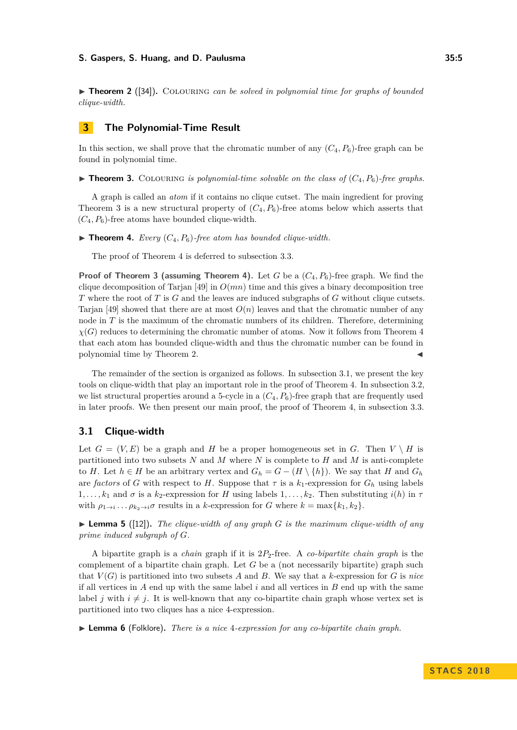<span id="page-4-3"></span>▶ **Theorem 2** ([\[34\]](#page-13-18)). COLOURING *can be solved in polynomial time for graphs of bounded clique-width.*

# <span id="page-4-0"></span>**3 The Polynomial-Time Result**

In this section, we shall prove that the chromatic number of any  $(C_4, P_6)$ -free graph can be found in polynomial time.

<span id="page-4-1"></span> $\triangleright$  **Theorem 3.** COLOURING *is polynomial-time solvable on the class of*  $(C_4, P_6)$ *-free graphs.* 

A graph is called an *atom* if it contains no clique cutset. The main ingredient for proving [Theorem 3](#page-4-1) is a new structural property of  $(C_4, P_6)$ -free atoms below which asserts that  $(C_4, P_6)$ -free atoms have bounded clique-width.

<span id="page-4-2"></span> $\triangleright$  **Theorem 4.** *Every* ( $C_4, P_6$ )-free atom has bounded clique-width.

The proof of [Theorem 4](#page-4-2) is deferred to [subsection 3.3.](#page-7-0)

**Proof of [Theorem 3](#page-4-1) (assuming [Theorem 4\)](#page-4-2).** Let *G* be a (*C*4*, P*6)-free graph. We find the clique decomposition of Tarjan [\[49\]](#page-14-11) in *O*(*mn*) time and this gives a binary decomposition tree *T* where the root of *T* is *G* and the leaves are induced subgraphs of *G* without clique cutsets. Tarian [\[49\]](#page-14-11) showed that there are at most  $O(n)$  leaves and that the chromatic number of any node in *T* is the maximum of the chromatic numbers of its children. Therefore, determining  $\chi(G)$  reduces to determining the chromatic number of atoms. Now it follows from [Theorem 4](#page-4-2) that each atom has bounded clique-width and thus the chromatic number can be found in polynomial time by [Theorem 2.](#page-4-3)

The remainder of the section is organized as follows. In [subsection 3.1,](#page-4-4) we present the key tools on clique-width that play an important role in the proof of [Theorem 4.](#page-4-2) In [subsection 3.2,](#page-6-0) we list structural properties around a 5-cycle in a  $(C_4, P_6)$ -free graph that are frequently used in later proofs. We then present our main proof, the proof of [Theorem 4,](#page-4-2) in [subsection 3.3.](#page-7-0)

# <span id="page-4-4"></span>**3.1 Clique-width**

Let  $G = (V, E)$  be a graph and *H* be a proper homogeneous set in *G*. Then  $V \setminus H$  is partitioned into two subsets *N* and *M* where *N* is complete to *H* and *M* is anti-complete to *H*. Let  $h \in H$  be an arbitrary vertex and  $G_h = G - (H \setminus \{h\})$ . We say that *H* and  $G_h$ are *factors* of *G* with respect to *H*. Suppose that  $\tau$  is a  $k_1$ -expression for  $G_h$  using labels 1,..., $k_1$  and  $\sigma$  is a  $k_2$ -expression for *H* using labels 1,..., $k_2$ . Then substituting  $i(h)$  in  $\tau$ with  $\rho_{1\to i} \dots \rho_{k_2\to i} \sigma$  results in a *k*-expression for *G* where  $k = \max\{k_1, k_2\}$ .

<span id="page-4-6"></span> $\triangleright$  **Lemma 5** ([\[12\]](#page-12-11)). The clique-width of any graph *G* is the maximum clique-width of any *prime induced subgraph of G.*

A bipartite graph is a *chain* graph if it is 2*P*2-free. A *co-bipartite chain graph* is the complement of a bipartite chain graph. Let *G* be a (not necessarily bipartite) graph such that  $V(G)$  is partitioned into two subsets A and B. We say that a k-expression for G is nice if all vertices in *A* end up with the same label *i* and all vertices in *B* end up with the same label *j* with  $i \neq j$ . It is well-known that any co-bipartite chain graph whose vertex set is partitioned into two cliques has a nice 4-expression.

<span id="page-4-5"></span>I **Lemma 6** (Folklore)**.** *There is a nice* 4*-expression for any co-bipartite chain graph.*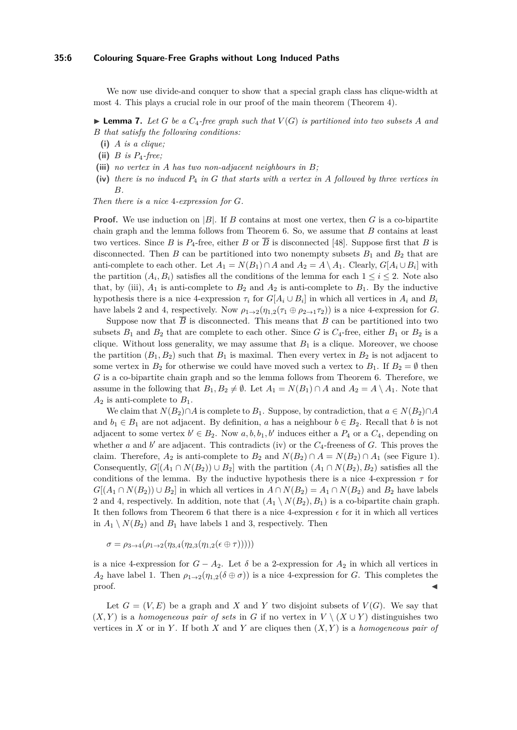#### **35:6 Colouring Square-Free Graphs without Long Induced Paths**

We now use divide-and conquer to show that a special graph class has clique-width at most 4. This plays a crucial role in our proof of the main theorem [\(Theorem 4\)](#page-4-2).

<span id="page-5-2"></span>**Example 7.** Let G be a  $C_4$ -free graph such that  $V(G)$  is partitioned into two subsets A and *B that satisfy the following conditions:*

- **(i)** *A is a clique;*
- (ii)  $B$  *is*  $P_4$ *-free;*
- <span id="page-5-0"></span>**(iii)** *no vertex in A has two non-adjacent neighbours in B;*
- <span id="page-5-1"></span>**(iv)** *there is no induced P*<sup>4</sup> *in G that starts with a vertex in A followed by three vertices in B.*

*Then there is a nice* 4*-expression for G.*

**Proof.** We use induction on |B|. If *B* contains at most one vertex, then *G* is a co-bipartite chain graph and the lemma follows from [Theorem 6.](#page-4-5) So, we assume that *B* contains at least two vertices. Since *B* is  $P_4$ -free, either *B* or  $\overline{B}$  is disconnected [\[48\]](#page-14-12). Suppose first that *B* is disconnected. Then *B* can be partitioned into two nonempty subsets  $B_1$  and  $B_2$  that are anti-complete to each other. Let  $A_1 = N(B_1) \cap A$  and  $A_2 = A \setminus A_1$ . Clearly,  $G[A_i \cup B_i]$  with the partition  $(A_i, B_i)$  satisfies all the conditions of the lemma for each  $1 \leq i \leq 2$ . Note also that, by [\(iii\)](#page-5-0),  $A_1$  is anti-complete to  $B_2$  and  $A_2$  is anti-complete to  $B_1$ . By the inductive hypothesis there is a nice 4-expression  $\tau_i$  for  $G[A_i \cup B_i]$  in which all vertices in  $A_i$  and  $B_i$ have labels 2 and 4, respectively. Now  $\rho_{1\rightarrow2}(\eta_{1,2}(\tau_1 \oplus \rho_{2\rightarrow1} \tau_2))$  is a nice 4-expression for *G*.

Suppose now that  $\overline{B}$  is disconnected. This means that  $B$  can be partitioned into two subsets  $B_1$  and  $B_2$  that are complete to each other. Since *G* is  $C_4$ -free, either  $B_1$  or  $B_2$  is a clique. Without loss generality, we may assume that  $B_1$  is a clique. Moreover, we choose the partition  $(B_1, B_2)$  such that  $B_1$  is maximal. Then every vertex in  $B_2$  is not adjacent to some vertex in  $B_2$  for otherwise we could have moved such a vertex to  $B_1$ . If  $B_2 = \emptyset$  then *G* is a co-bipartite chain graph and so the lemma follows from [Theorem 6.](#page-4-5) Therefore, we assume in the following that  $B_1, B_2 \neq \emptyset$ . Let  $A_1 = N(B_1) \cap A$  and  $A_2 = A \setminus A_1$ . Note that  $A_2$  is anti-complete to  $B_1$ .

We claim that  $N(B_2) \cap A$  is complete to  $B_1$ . Suppose, by contradiction, that  $a \in N(B_2) \cap A$ and  $b_1 \in B_1$  are not adjacent. By definition, *a* has a neighbour  $b \in B_2$ . Recall that *b* is not adjacent to some vertex  $b' \in B_2$ . Now  $a, b, b_1, b'$  induces either a  $P_4$  or a  $C_4$ , depending on whether  $a$  and  $b'$  are adjacent. This contradicts [\(iv\)](#page-5-1) or the  $C_4$ -freeness of  $G$ . This proves the claim. Therefore,  $A_2$  is anti-complete to  $B_2$  and  $N(B_2) \cap A = N(B_2) \cap A_1$  (see [Figure 1\)](#page-6-1). Consequently,  $G[(A_1 \cap N(B_2)) \cup B_2]$  with the partition  $(A_1 \cap N(B_2), B_2)$  satisfies all the conditions of the lemma. By the inductive hypothesis there is a nice 4-expression  $\tau$  for *G*[ $(A_1 ∩ N(B_2)) ∪ B_2$ ] in which all vertices in  $A ∩ N(B_2) = A_1 ∩ N(B_2)$  and  $B_2$  have labels 2 and 4, respectively. In addition, note that  $(A_1 \setminus N(B_2), B_1)$  is a co-bipartite chain graph. It then follows from [Theorem 6](#page-4-5) that there is a nice 4-expression  $\epsilon$  for it in which all vertices in  $A_1 \setminus N(B_2)$  and  $B_1$  have labels 1 and 3, respectively. Then

 $\sigma = \rho_{3\to 4}(\rho_{1\to 2}(\eta_{3,4}(\eta_{2,3}(\eta_{1,2}(\epsilon \oplus \tau))))$ 

is a nice 4-expression for  $G - A_2$ . Let  $\delta$  be a 2-expression for  $A_2$  in which all vertices in *A*<sub>2</sub> have label 1. Then  $\rho_{1\rightarrow2}(\eta_{1,2}(\delta \oplus \sigma))$  is a nice 4-expression for *G*. This completes the proof.

Let  $G = (V, E)$  be a graph and X and Y two disjoint subsets of  $V(G)$ . We say that  $(X, Y)$  is a *homogeneous pair of sets* in *G* if no vertex in  $V \setminus (X \cup Y)$  distinguishes two vertices in *X* or in *Y*. If both *X* and *Y* are cliques then  $(X, Y)$  is a *homogeneous pair of*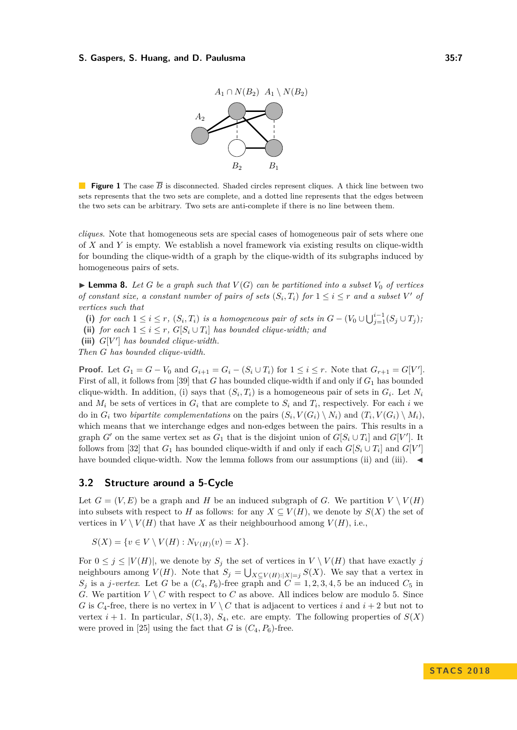

<span id="page-6-1"></span>**Figure 1** The case  $\overline{B}$  is disconnected. Shaded circles represent cliques. A thick line between two sets represents that the two sets are complete, and a dotted line represents that the edges between the two sets can be arbitrary. Two sets are anti-complete if there is no line between them.

*cliques*. Note that homogeneous sets are special cases of homogeneous pair of sets where one of *X* and *Y* is empty. We establish a novel framework via existing results on clique-width for bounding the clique-width of a graph by the clique-width of its subgraphs induced by homogeneous pairs of sets.

<span id="page-6-5"></span> $\blacktriangleright$  **Lemma 8.** Let *G* be a graph such that  $V(G)$  can be partitioned into a subset  $V_0$  of vertices *of constant size, a constant number of pairs of sets*  $(S_i, T_i)$  *for*  $1 \leq i \leq r$  *and a subset*  $V'$  *of vertices such that*

<span id="page-6-2"></span>(i) for each  $1 \leq i \leq r$ ,  $(S_i, T_i)$  is a homogeneous pair of sets in  $G - (V_0 \cup \bigcup_{j=1}^{i-1} (S_j \cup T_j))$ 

<span id="page-6-3"></span>(ii) *for each*  $1 \leq i \leq r$ ,  $G[S_i \cup T_i]$  *has bounded clique-width; and* 

<span id="page-6-4"></span>(iii)  $G[V']$  has bounded clique-width.

*Then G has bounded clique-width.*

**Proof.** Let  $G_1 = G - V_0$  and  $G_{i+1} = G_i - (S_i \cup T_i)$  for  $1 \le i \le r$ . Note that  $G_{r+1} = G[V']$ . First of all, it follows from [\[39\]](#page-14-13) that *G* has bounded clique-width if and only if *G*<sup>1</sup> has bounded clique-width. In addition, [\(i\)](#page-6-2) says that  $(S_i, T_i)$  is a homogeneous pair of sets in  $G_i$ . Let  $N_i$ and  $M_i$  be sets of vertices in  $G_i$  that are complete to  $S_i$  and  $T_i$ , respectively. For each *i* we do in  $G_i$  two *bipartite complementations* on the pairs  $(S_i, V(G_i) \setminus N_i)$  and  $(T_i, V(G_i) \setminus M_i)$ , which means that we interchange edges and non-edges between the pairs. This results in a graph *G*<sup> $\prime$ </sup> on the same vertex set as  $G_1$  that is the disjoint union of  $G[S_i \cup T_i]$  and  $G[V']$ . It follows from [\[32\]](#page-13-19) that  $G_1$  has bounded clique-width if and only if each  $G[S_i \cup T_i]$  and  $G[V']$ have bounded clique-width. Now the lemma follows from our assumptions [\(ii\)](#page-6-3) and [\(iii\)](#page-6-4).  $\blacktriangleleft$ 

## <span id="page-6-0"></span>**3.2 Structure around a 5-Cycle**

Let  $G = (V, E)$  be a graph and *H* be an induced subgraph of *G*. We partition  $V \setminus V(H)$ into subsets with respect to *H* as follows: for any  $X \subseteq V(H)$ , we denote by  $S(X)$  the set of vertices in  $V \setminus V(H)$  that have X as their neighbourhood among  $V(H)$ , i.e.,

 $S(X) = \{v \in V \setminus V(H) : N_{V(H)}(v) = X\}.$ 

For  $0 \leq j \leq |V(H)|$ , we denote by  $S_j$  the set of vertices in  $V \setminus V(H)$  that have exactly *j* neighbours among  $V(H)$ . Note that  $S_j = \bigcup_{X \subseteq V(H): |X| = j} S(X)$ . We say that a vertex in  $S_j$  is a *j*-vertex. Let *G* be a  $(C_4, P_6)$ -free graph and  $C = 1, 2, 3, 4, 5$  be an induced  $C_5$  in *G*. We partition  $V \setminus C$  with respect to *C* as above. All indices below are modulo 5. Since *G* is  $C_4$ -free, there is no vertex in  $V \setminus C$  that is adjacent to vertices *i* and  $i + 2$  but not to vertex  $i + 1$ . In particular,  $S(1,3)$ ,  $S_4$ , etc. are empty. The following properties of  $S(X)$ were proved in [\[25\]](#page-13-11) using the fact that *G* is  $(C_4, P_6)$ -free.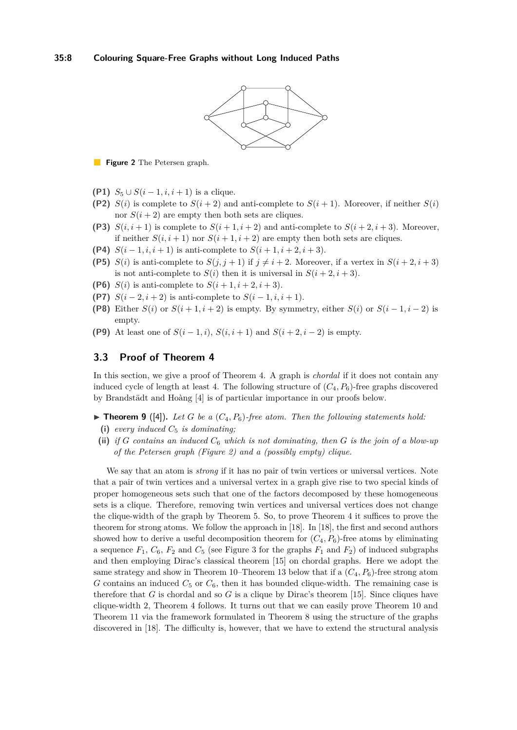

<span id="page-7-1"></span>**Figure 2** The Petersen graph.

- <span id="page-7-7"></span>**(P1)**  $S_5 \cup S(i − 1, i, i + 1)$  is a clique.
- **(P2)**  $S(i)$  is complete to  $S(i+2)$  and anti-complete to  $S(i+1)$ . Moreover, if neither  $S(i)$ nor  $S(i + 2)$  are empty then both sets are cliques.
- <span id="page-7-3"></span>**(P3)**  $S(i, i+1)$  is complete to  $S(i+1, i+2)$  and anti-complete to  $S(i+2, i+3)$ . Moreover, if neither  $S(i, i + 1)$  nor  $S(i + 1, i + 2)$  are empty then both sets are cliques.
- <span id="page-7-8"></span>**(P4)**  $S(i-1, i, i+1)$  is anti-complete to  $S(i+1, i+2, i+3)$ .
- <span id="page-7-9"></span>**(P5)** *S*(*i*) is anti-complete to *S*(*j, j* + 1) if  $j \neq i + 2$ . Moreover, if a vertex in  $S(i + 2, i + 3)$ is not anti-complete to  $S(i)$  then it is universal in  $S(i+2, i+3)$ .
- <span id="page-7-6"></span>**(P6)** *S(i)* is anti-complete to  $S(i + 1, i + 2, i + 3)$ .
- <span id="page-7-4"></span>**(P7)**  $S(i-2, i+2)$  is anti-complete to  $S(i-1, i, i+1)$ .
- <span id="page-7-2"></span>**(P8)** Either  $S(i)$  or  $S(i+1, i+2)$  is empty. By symmetry, either  $S(i)$  or  $S(i-1, i-2)$  is empty.
- **(P9)** At least one of  $S(i 1, i)$ ,  $S(i, i + 1)$  and  $S(i + 2, i 2)$  is empty.

## <span id="page-7-0"></span>**3.3 Proof of [Theorem 4](#page-4-2)**

In this section, we give a proof of [Theorem 4.](#page-4-2) A graph is *chordal* if it does not contain any induced cycle of length at least 4. The following structure of  $(C_4, P_6)$ -free graphs discovered by Brandstädt and Hoàng [\[4\]](#page-12-12) is of particular importance in our proofs below.

- <span id="page-7-5"></span> $\blacktriangleright$  **Theorem 9** ([\[4\]](#page-12-12)). Let *G* be a  $(C_4, P_6)$ -free atom. Then the following statements hold:
- (i) *every induced*  $C_5$  *is dominating;*
- **(ii)** *if G contains an induced C*<sup>6</sup> *which is not dominating, then G is the join of a blow-up of the Petersen graph [\(Figure 2\)](#page-7-1) and a (possibly empty) clique.*

We say that an atom is *strong* if it has no pair of twin vertices or universal vertices. Note that a pair of twin vertices and a universal vertex in a graph give rise to two special kinds of proper homogeneous sets such that one of the factors decomposed by these homogeneous sets is a clique. Therefore, removing twin vertices and universal vertices does not change the clique-width of the graph by [Theorem 5.](#page-4-6) So, to prove [Theorem 4](#page-4-2) it suffices to prove the theorem for strong atoms. We follow the approach in [\[18\]](#page-13-16). In [\[18\]](#page-13-16), the first and second authors showed how to derive a useful decomposition theorem for  $(C_4, P_6)$ -free atoms by eliminating a sequence  $F_1$ ,  $C_6$ ,  $F_2$  and  $C_5$  (see [Figure 3](#page-8-0) for the graphs  $F_1$  and  $F_2$ ) of induced subgraphs and then employing Dirac's classical theorem [\[15\]](#page-13-20) on chordal graphs. Here we adopt the same strategy and show in [Theorem 10–](#page-8-1)[Theorem 13](#page-8-2) below that if a  $(C_4, P_6)$ -free strong atom *G* contains an induced  $C_5$  or  $C_6$ , then it has bounded clique-width. The remaining case is therefore that *G* is chordal and so *G* is a clique by Dirac's theorem [\[15\]](#page-13-20). Since cliques have clique-width 2, [Theorem 4](#page-4-2) follows. It turns out that we can easily prove [Theorem 10](#page-8-1) and [Theorem 11](#page-8-3) via the framework formulated in [Theorem 8](#page-6-5) using the structure of the graphs discovered in [\[18\]](#page-13-16). The difficulty is, however, that we have to extend the structural analysis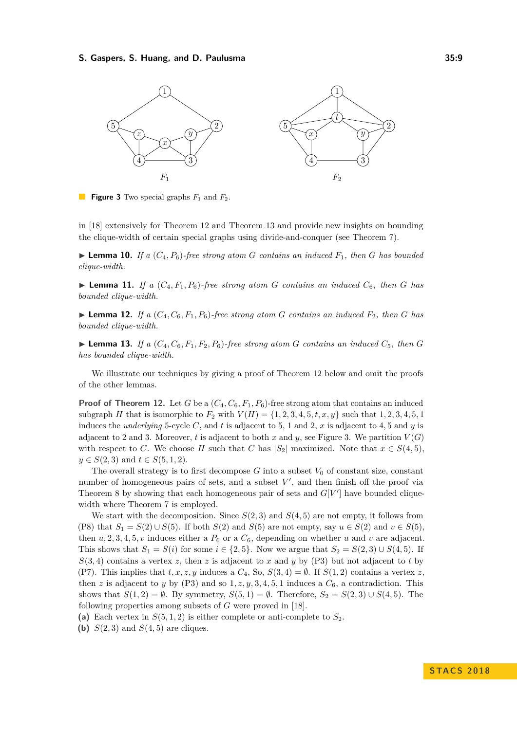<span id="page-8-0"></span>

**Figure 3** Two special graphs  $F_1$  and  $F_2$ .

in [\[18\]](#page-13-16) extensively for [Theorem 12](#page-8-4) and [Theorem 13](#page-8-2) and provide new insights on bounding the clique-width of certain special graphs using divide-and-conquer (see [Theorem 7\)](#page-5-2).

<span id="page-8-1"></span> $\blacktriangleright$  **Lemma 10.** *If a* ( $C_4$ ,  $P_6$ )*-free strong atom G contains an induced*  $F_1$ *, then G has bounded clique-width.*

<span id="page-8-3"></span>**Example 11.** *If a*  $(C_4, F_1, P_6)$ *-free strong atom G contains an induced*  $C_6$ *, then G has bounded clique-width.*

<span id="page-8-4"></span>**Example 12.** *If a*  $(C_4, C_6, F_1, P_6)$ *-free strong atom G contains an induced*  $F_2$ *, then G has bounded clique-width.*

<span id="page-8-2"></span>**Example 13.** *If a*  $(C_4, C_6, F_1, F_2, P_6)$ *-free strong atom G contains an induced*  $C_5$ *, then G has bounded clique-width.*

We illustrate our techniques by giving a proof of [Theorem 12](#page-8-4) below and omit the proofs of the other lemmas.

**Proof of [Theorem 12.](#page-8-4)** Let *G* be a  $(C_4, C_6, F_1, P_6)$ -free strong atom that contains an induced subgraph *H* that is isomorphic to  $F_2$  with  $V(H) = \{1, 2, 3, 4, 5, t, x, y\}$  such that 1, 2, 3, 4, 5, 1 induces the *underlying* 5-cycle C, and t is adjacent to 5, 1 and 2, x is adjacent to 4, 5 and y is adjacent to 2 and 3. Moreover, *t* is adjacent to both *x* and *y*, see [Figure 3.](#page-8-0) We partition  $V(G)$ with respect to *C*. We choose *H* such that *C* has  $|S_2|$  maximized. Note that  $x \in S(4, 5)$ , *y* ∈ *S*(2*,* 3) and *t* ∈ *S*(5*,* 1*,* 2).

The overall strategy is to first decompose  $G$  into a subset  $V_0$  of constant size, constant number of homogeneous pairs of sets, and a subset  $V'$ , and then finish off the proof via [Theorem 8](#page-6-5) by showing that each homogeneous pair of sets and  $G[V']$  have bounded clique-width where [Theorem 7](#page-5-2) is employed.

We start with the decomposition. Since  $S(2,3)$  and  $S(4,5)$  are not empty, it follows from [\(P8\)](#page-7-2) that  $S_1 = S(2) \cup S(5)$ . If both  $S(2)$  and  $S(5)$  are not empty, say  $u \in S(2)$  and  $v \in S(5)$ , then  $u$ , 2, 3, 4, 5, *v* induces either a  $P_6$  or a  $C_6$ , depending on whether *u* and *v* are adjacent. This shows that  $S_1 = S(i)$  for some  $i \in \{2, 5\}$ . Now we argue that  $S_2 = S(2, 3) \cup S(4, 5)$ . If  $S(3,4)$  contains a vertex *z*, then *z* is adjacent to *x* and *y* by [\(P3\)](#page-7-3) but not adjacent to *t* by [\(P7\).](#page-7-4) This implies that  $t, x, z, y$  induces a  $C_4$ , So,  $S(3, 4) = \emptyset$ . If  $S(1, 2)$  contains a vertex  $z$ , then *z* is adjacent to *y* by [\(P3\)](#page-7-3) and so  $1, z, y, 3, 4, 5, 1$  induces a  $C_6$ , a contradiction. This shows that  $S(1,2) = \emptyset$ . By symmetry,  $S(5,1) = \emptyset$ . Therefore,  $S_2 = S(2,3) \cup S(4,5)$ . The following properties among subsets of *G* were proved in [\[18\]](#page-13-16).

<span id="page-8-5"></span>(a) Each vertex in  $S(5,1,2)$  is either complete or anti-complete to  $S_2$ .

(b)  $S(2,3)$  and  $S(4,5)$  are cliques.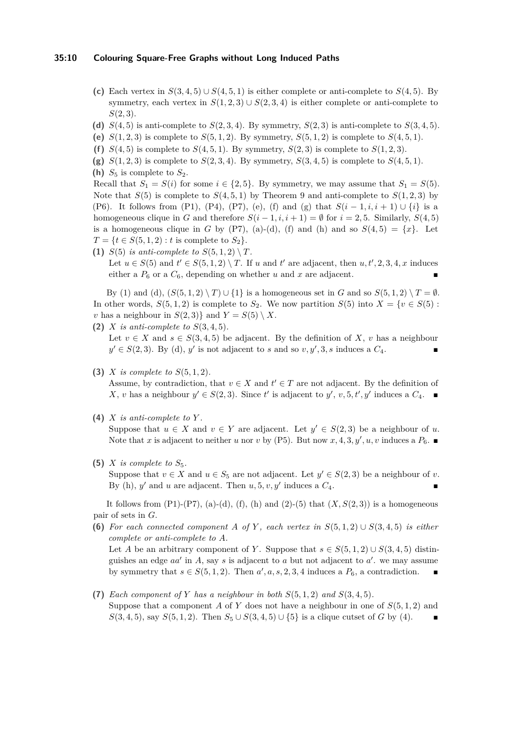### **35:10 Colouring Square-Free Graphs without Long Induced Paths**

- (c) Each vertex in  $S(3,4,5) \cup S(4,5,1)$  is either complete or anti-complete to  $S(4,5)$ . By symmetry, each vertex in  $S(1,2,3) \cup S(2,3,4)$  is either complete or anti-complete to *S*(2*,* 3).
- <span id="page-9-3"></span>(d)  $S(4, 5)$  is anti-complete to  $S(2, 3, 4)$ . By symmetry,  $S(2, 3)$  is anti-complete to  $S(3, 4, 5)$ .
- <span id="page-9-0"></span>(e)  $S(1,2,3)$  is complete to  $S(5,1,2)$ . By symmetry,  $S(5,1,2)$  is complete to  $S(4,5,1)$ .
- <span id="page-9-1"></span>(f)  $S(4,5)$  is complete to  $S(4,5,1)$ . By symmetry,  $S(2,3)$  is complete to  $S(1,2,3)$ .
- <span id="page-9-2"></span>(g)  $S(1, 2, 3)$  is complete to  $S(2, 3, 4)$ . By symmetry,  $S(3, 4, 5)$  is complete to  $S(4, 5, 1)$ .
- <span id="page-9-4"></span>(**h**)  $S_5$  is complete to  $S_2$ .

Recall that  $S_1 = S(i)$  for some  $i \in \{2, 5\}$ . By symmetry, we may assume that  $S_1 = S(5)$ . Note that  $S(5)$  is complete to  $S(4, 5, 1)$  by [Theorem 9](#page-7-5) and anti-complete to  $S(1, 2, 3)$  by [\(P6\).](#page-7-6) It follows from [\(P1\),](#page-7-7) [\(P4\),](#page-7-8) [\(P7\),](#page-7-4) [\(e\)](#page-9-0), [\(f\)](#page-9-1) and [\(g\)](#page-9-2) that  $S(i-1,i,i+1) \cup \{i\}$  is a homogeneous clique in *G* and therefore  $S(i-1,i,i+1) = \emptyset$  for  $i = 2, 5$ . Similarly,  $S(4, 5)$ is a homogeneous clique in *G* by [\(P7\),](#page-7-4) [\(a\)](#page-8-5)-[\(d\)](#page-9-3), [\(f\)](#page-9-1) and [\(h\)](#page-9-4) and so  $S(4,5) = \{x\}$ . Let  $T = \{t \in S(5, 1, 2) : t \text{ is complete to } S_2\}.$ 

<span id="page-9-5"></span>**(1)**  $S(5)$  *is anti-complete to*  $S(5, 1, 2) \setminus T$ . Let  $u \in S(5)$  and  $t' \in S(5, 1, 2) \setminus T$ . If *u* and  $t'$  are adjacent, then  $u, t', 2, 3, 4, x$  induces either a  $P_6$  or a  $C_6$ , depending on whether *u* and *x* are adjacent.

By [\(1\)](#page-9-5) and [\(d\)](#page-9-3),  $(S(5,1,2) \setminus T) \cup \{1\}$  is a homogeneous set in *G* and so  $S(5,1,2) \setminus T = \emptyset$ . In other words,  $S(5, 1, 2)$  is complete to  $S_2$ . We now partition  $S(5)$  into  $X = \{v \in S(5):$ *v* has a neighbour in  $S(2,3)$ } and  $Y = S(5) \setminus X$ .

<span id="page-9-6"></span>**(2)** *X is anti-complete to S*(3*,* 4*,* 5)*.* Let  $v \in X$  and  $s \in S(3, 4, 5)$  be adjacent. By the definition of X, v has a neighbour  $y' \in S(2,3)$ . By [\(d\)](#page-9-3), y' is not adjacent to *s* and so  $v, y', 3, s$  induces a  $C_4$ .

<span id="page-9-11"></span>**(3)** *X is complete to S*(5*,* 1*,* 2)*.*

Assume, by contradiction, that  $v \in X$  and  $t' \in T$  are not adjacent. By the definition of *X*, *v* has a neighbour *y*<sup> $′$ </sup> ∈ *S*(2*,* 3). Since *t*<sup> $′$ </sup> is adjacent to *y*<sup> $′$ </sup>, *v<sub></sub>, 5<i>, t*<sup> $′$ </sup>, *y*<sup> $′$ </sup> induces a *C*<sub>4</sub>. ■

<span id="page-9-8"></span>**(4)** *X is anti-complete to Y .*

Suppose that  $u \in X$  and  $v \in Y$  are adjacent. Let  $y' \in S(2,3)$  be a neighbour of *u*. Note that *x* is adjacent to neither *u* nor *v* by [\(P5\).](#page-7-9) But now *x*, 4, 3, y', *u*, *v* induces a  $P_6$ .

<span id="page-9-7"></span>(5)  $X$  *is complete to*  $S_5$ .

Suppose that  $v \in X$  and  $u \in S_5$  are not adjacent. Let  $y' \in S(2,3)$  be a neighbour of *v*. By [\(h\)](#page-9-4),  $y'$  and  $u$  are adjacent. Then  $u, 5, v, y'$  induces a  $C_4$ .

It follows from  $(P1)-(P7)$ ,  $(a)-(d)$  $(a)-(d)$  $(a)-(d)$ ,  $(f)$ ,  $(h)$  and  $(2)-(5)$  $(2)-(5)$  $(2)-(5)$  that  $(X, S(2, 3))$  is a homogeneous pair of sets in *G*.

<span id="page-9-10"></span>**(6)** For each connected component A of Y, each vertex in  $S(5,1,2) \cup S(3,4,5)$  is either *complete or anti-complete to A.*

Let *A* be an arbitrary component of *Y*. Suppose that  $s \in S(5,1,2) \cup S(3,4,5)$  distinguishes an edge  $aa'$  in  $A$ , say  $s$  is adjacent to  $a$  but not adjacent to  $a'$ . we may assume by symmetry that  $s \in S(5, 1, 2)$ . Then  $a', a, s, 2, 3, 4$  induces a  $P_6$ , a contradiction.

<span id="page-9-9"></span>(7) *Each component of Y has a neighbour in both*  $S(5,1,2)$  *and*  $S(3,4,5)$ *.* Suppose that a component *A* of *Y* does not have a neighbour in one of *S*(5*,* 1*,* 2) and *S*(3*,* 4*,* 5), say *S*(5*,* 1*,* 2). Then  $S_5 \cup S(3,4,5) \cup \{5\}$  is a clique cutset of *G* by [\(4\)](#page-9-8).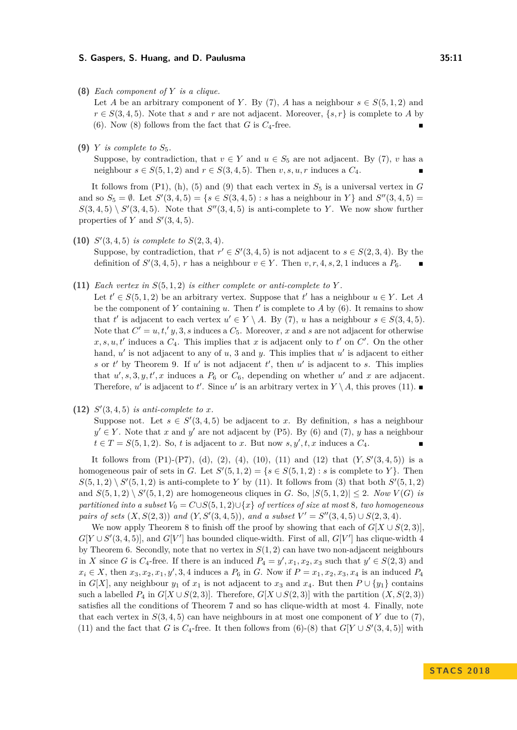<span id="page-10-0"></span>**(8)** *Each component of Y is a clique.*

Let *A* be an arbitrary component of *Y*. By [\(7\)](#page-9-9), *A* has a neighbour  $s \in S(5,1,2)$  and  $r \in S(3, 4, 5)$ . Note that *s* and *r* are not adjacent. Moreover,  $\{s, r\}$  is complete to *A* by [\(6\)](#page-9-10). Now [\(8\)](#page-10-0) follows from the fact that  $G$  is  $C_4$ -free.

<span id="page-10-1"></span>**(9)** *Y is complete to*  $S_5$ *.* 

Suppose, by contradiction, that  $v \in Y$  and  $u \in S_5$  are not adjacent. By [\(7\)](#page-9-9), *v* has a neighbour  $s \in S(5, 1, 2)$  and  $r \in S(3, 4, 5)$ . Then  $v, s, u, r$  induces a  $C_4$ .

It follows from  $(P1)$ ,  $(h)$ ,  $(5)$  and  $(9)$  that each vertex in  $S_5$  is a universal vertex in  $G$ and so  $S_5 = \emptyset$ . Let  $S'(3, 4, 5) = \{s \in S(3, 4, 5) : s \text{ has a neighbour in } Y\}$  and  $S''(3, 4, 5) =$  $S(3,4,5) \setminus S'(3,4,5)$ . Note that  $S''(3,4,5)$  is anti-complete to *Y*. We now show further properties of *Y* and  $S'(3, 4, 5)$ .

<span id="page-10-3"></span>(10)  $S'(3, 4, 5)$  *is complete to*  $S(2, 3, 4)$ *.* 

Suppose, by contradiction, that  $r' \in S'(3, 4, 5)$  is not adjacent to  $s \in S(2, 3, 4)$ . By the definition of  $S'(3, 4, 5)$ , *r* has a neighbour  $v \in Y$ . Then  $v, r, 4, s, 2, 1$  induces a  $P_6$ .

<span id="page-10-2"></span>**(11)** *Each vertex in*  $S(5,1,2)$  *is either complete or anti-complete to*  $Y$ *.* 

Let  $t' \in S(5, 1, 2)$  be an arbitrary vertex. Suppose that  $t'$  has a neighbour  $u \in Y$ . Let *A* be the component of  $Y$  containing  $u$ . Then  $t'$  is complete to  $A$  by  $(6)$ . It remains to show that *t'* is adjacent to each vertex  $u' \in Y \setminus A$ . By [\(7\)](#page-9-9), *u* has a neighbour  $s \in S(3, 4, 5)$ . Note that  $C' = u, t, y, 3, s$  induces a  $C_5$ . Moreover, *x* and *s* are not adjacent for otherwise  $x, s, u, t'$  induces a  $C_4$ . This implies that *x* is adjacent only to *t'* on  $C'$ . On the other hand,  $u'$  is not adjacent to any of  $u$ , 3 and  $y$ . This implies that  $u'$  is adjacent to either s or  $t'$  by [Theorem 9.](#page-7-5) If  $u'$  is not adjacent  $t'$ , then  $u'$  is adjacent to s. This implies that  $u', s, 3, y, t', x$  induces a  $P_6$  or  $C_6$ , depending on whether  $u'$  and  $x$  are adjacent. Therefore,  $u'$  is adjacent to *t'*. Since  $u'$  is an arbitrary vertex in  $Y \setminus A$ , this proves [\(11\)](#page-10-2).

<span id="page-10-4"></span>(12)  $S'(3,4,5)$  *is anti-complete to x.* 

Suppose not. Let  $s \in S'(3, 4, 5)$  be adjacent to *x*. By definition, *s* has a neighbour  $y' \in Y$ . Note that *x* and *y*' are not adjacent by [\(P5\).](#page-7-9) By [\(6\)](#page-9-10) and [\(7\)](#page-9-9), *y* has a neighbour  $t \in T = S(5, 1, 2)$ . So, *t* is adjacent to *x*. But now *s*, *y*<sup> $\prime$ </sup>, *t*, *x* induces a  $C_4$ .

It follows from  $(P1)-(P7)$ ,  $(d)$ ,  $(2)$ ,  $(4)$ ,  $(10)$ ,  $(11)$  and  $(12)$  that  $(Y, S'(3, 4, 5))$  is a homogeneous pair of sets in *G*. Let  $S'(5,1,2) = \{s \in S(5,1,2) : s \text{ is complete to } Y\}.$  Then  $S(5,1,2) \setminus S'(5,1,2)$  is anti-complete to *Y* by [\(11\)](#page-10-2). It follows from [\(3\)](#page-9-11) that both  $S'(5,1,2)$ and  $S(5, 1, 2) \setminus S'(5, 1, 2)$  are homogeneous cliques in *G*. So,  $|S(5, 1, 2)| \leq 2$ . *Now*  $V(G)$  *is partitioned into a subset*  $V_0 = C \cup S(5,1,2) \cup \{x\}$  *of vertices of size at most* 8*, two homogeneous pairs of sets*  $(X, S(2,3))$  *and*  $(Y, S'(3,4,5))$ *, and a subset*  $V' = S''(3,4,5) \cup S(2,3,4)$ *.* 

We now apply [Theorem 8](#page-6-5) to finish off the proof by showing that each of  $G[X \cup S(2, 3)]$ .  $G[Y \cup S'(3, 4, 5)]$ , and  $G[V']$  has bounded clique-width. First of all,  $G[V']$  has clique-width 4 by [Theorem 6.](#page-4-5) Secondly, note that no vertex in  $S(1,2)$  can have two non-adjacent neighbours in *X* since *G* is *C*<sub>4</sub>-free. If there is an induced  $P_4 = y', x_1, x_2, x_3$  such that  $y' \in S(2,3)$  and  $x_i \in X$ , then  $x_3, x_2, x_1, y', 3, 4$  induces a  $P_6$  in *G*. Now if  $P = x_1, x_2, x_3, x_4$  is an induced  $P_4$ in *G*[*X*], any neighbour *y*<sub>1</sub> of *x*<sub>1</sub> is not adjacent to *x*<sub>3</sub> and *x*<sub>4</sub>. But then  $P \cup \{y_1\}$  contains such a labelled  $P_4$  in  $G[X \cup S(2,3)]$ . Therefore,  $G[X \cup S(2,3)]$  with the partition  $(X, S(2,3))$ satisfies all the conditions of [Theorem 7](#page-5-2) and so has clique-width at most 4. Finally, note that each vertex in  $S(3, 4, 5)$  can have neighbours in at most one component of Y due to [\(7\)](#page-9-9), [\(11\)](#page-10-2) and the fact that *G* is  $C_4$ -free. It then follows from [\(6\)](#page-9-10)-[\(8\)](#page-10-0) that  $G[Y \cup S'(3, 4, 5)]$  with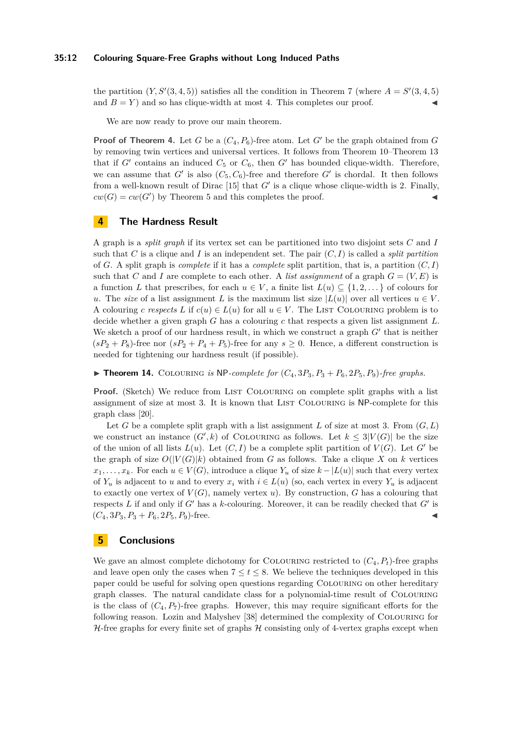#### **35:12 Colouring Square-Free Graphs without Long Induced Paths**

the partition  $(Y, S'(3, 4, 5))$  satisfies all the condition in [Theorem 7](#page-5-2) (where  $A = S'(3, 4, 5)$ and  $B = Y$  and so has clique-width at most 4. This completes our proof.

We are now ready to prove our main theorem.

**Proof of [Theorem 4.](#page-4-2)** Let *G* be a  $(C_4, P_6)$ -free atom. Let *G'* be the graph obtained from *G* by removing twin vertices and universal vertices. It follows from [Theorem 10–](#page-8-1)[Theorem 13](#page-8-2) that if  $G'$  contains an induced  $C_5$  or  $C_6$ , then  $G'$  has bounded clique-width. Therefore, we can assume that  $G'$  is also  $(C_5, C_6)$ -free and therefore  $G'$  is chordal. It then follows from a well-known result of Dirac  $[15]$  that  $G'$  is a clique whose clique-width is 2. Finally,  $cw(G) = cw(G')$  by [Theorem 5](#page-4-6) and this completes the proof.

## <span id="page-11-0"></span>**4 The Hardness Result**

A graph is a *split graph* if its vertex set can be partitioned into two disjoint sets *C* and *I* such that *C* is a clique and *I* is an independent set. The pair  $(C, I)$  is called a *split partition* of *G*. A split graph is *complete* if it has a *complete* split partition, that is, a partition (*C, I*) such that *C* and *I* are complete to each other. A *list assignment* of a graph  $G = (V, E)$  is a function *L* that prescribes, for each  $u \in V$ , a finite list  $L(u) \subseteq \{1, 2, \ldots\}$  of colours for *u*. The *size* of a list assignment *L* is the maximum list size  $|L(u)|$  over all vertices  $u \in V$ . A colouring *c* respects *L* if  $c(u) \in L(u)$  for all  $u \in V$ . The LIST COLOURING problem is to decide whether a given graph *G* has a colouring *c* that respects a given list assignment *L*. We sketch a proof of our hardness result, in which we construct a graph  $G'$  that is neither  $(sP_2 + P_8)$ -free nor  $(sP_2 + P_4 + P_5)$ -free for any  $s \ge 0$ . Hence, a different construction is needed for tightening our hardness result (if possible).

 $\blacktriangleright$  **Theorem 14.** COLOURING *is* NP-complete for  $(C_4, 3P_3, P_3 + P_6, 2P_5, P_9)$ -free graphs.

**Proof.** (Sketch) We reduce from LIST COLOURING on complete split graphs with a list assignment of size at most 3. It is known that LIST COLOURING is NP-complete for this graph class [\[20\]](#page-13-21).

Let *G* be a complete split graph with a list assignment *L* of size at most 3. From  $(G, L)$ we construct an instance  $(G', k)$  of COLOURING as follows. Let  $k \leq 3|V(G)|$  be the size of the union of all lists  $L(u)$ . Let  $(C, I)$  be a complete split partition of  $V(G)$ . Let  $G'$  be the graph of size  $O(|V(G)|k)$  obtained from *G* as follows. Take a clique *X* on *k* vertices *x*<sub>1</sub>, . . . , *x*<sub>*k*</sub>. For each *u* ∈ *V*(*G*), introduce a clique *Y*<sub>*u*</sub> of size *k* − |*L*(*u*)| such that every vertex of  $Y_u$  is adjacent to *u* and to every  $x_i$  with  $i \in L(u)$  (so, each vertex in every  $Y_u$  is adjacent to exactly one vertex of  $V(G)$ , namely vertex *u*). By construction, *G* has a colouring that respects  $L$  if and only if  $G'$  has a  $k$ -colouring. Moreover, it can be readily checked that  $G'$  is  $(C_4, 3P_3, P_3 + P_6, 2P_5, P_9)$ -free.

## **5 Conclusions**

We gave an almost complete dichotomy for COLOURING restricted to  $(C_4, P_t)$ -free graphs and leave open only the cases when  $7 \le t \le 8$ . We believe the techniques developed in this paper could be useful for solving open questions regarding Colouring on other hereditary graph classes. The natural candidate class for a polynomial-time result of Colouring is the class of  $(C_4, P_7)$ -free graphs. However, this may require significant efforts for the following reason. Lozin and Malyshev [\[38\]](#page-14-3) determined the complexity of Colouring for  $H$ -free graphs for every finite set of graphs  $H$  consisting only of 4-vertex graphs except when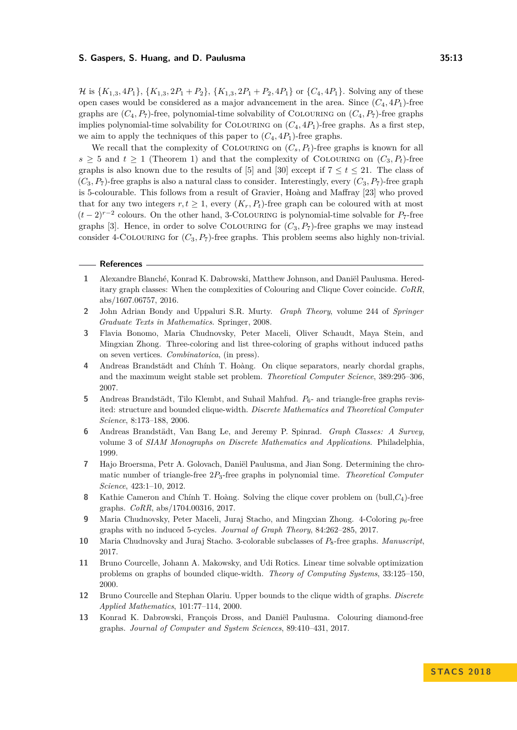*H* is  $\{K_{1,3}, 4P_1\}$ ,  $\{K_{1,3}, 2P_1 + P_2\}$ ,  $\{K_{1,3}, 2P_1 + P_2, 4P_1\}$  or  $\{C_4, 4P_1\}$ . Solving any of these open cases would be considered as a major advancement in the area. Since  $(C_4, 4P_1)$ -free graphs are  $(C_4, P_7)$ -free, polynomial-time solvability of COLOURING on  $(C_4, P_7)$ -free graphs implies polynomial-time solvability for COLOURING on  $(C_4, 4P_1)$ -free graphs. As a first step, we aim to apply the techniques of this paper to  $(C_4, 4P_1)$ -free graphs.

We recall that the complexity of COLOURING on  $(C_s, P_t)$ -free graphs is known for all  $s \geq 5$  and  $t \geq 1$  [\(Theorem 1\)](#page-2-0) and that the complexity of COLOURING on  $(C_3, P_t)$ -free graphs is also known due to the results of [\[5\]](#page-12-8) and [\[30\]](#page-13-14) except if  $7 \le t \le 21$ . The class of  $(C_3, P_7)$ -free graphs is also a natural class to consider. Interestingly, every  $(C_3, P_7)$ -free graph is 5-colourable. This follows from a result of Gravier, Hoàng and Maffray [\[23\]](#page-13-22) who proved that for any two integers  $r, t \geq 1$ , every  $(K_r, P_t)$ -free graph can be coloured with at most  $(t-2)^{r-2}$  colours. On the other hand, 3-COLOURING is polynomial-time solvable for  $P_7$ -free graphs [\[3\]](#page-12-1). Hence, in order to solve COLOURING for  $(C_3, P_7)$ -free graphs we may instead consider 4-COLOURING for  $(C_3, P_7)$ -free graphs. This problem seems also highly non-trivial.

#### **References**

- <span id="page-12-4"></span>**1** Alexandre Blanché, Konrad K. Dabrowski, Matthew Johnson, and Daniël Paulusma. Hereditary graph classes: When the complexities of Colouring and Clique Cover coincide. *CoRR*, abs/1607.06757, 2016.
- <span id="page-12-10"></span>**2** John Adrian Bondy and Uppaluri S.R. Murty. *Graph Theory*, volume 244 of *Springer Graduate Texts in Mathematics*. Springer, 2008.
- <span id="page-12-1"></span>**3** Flavia Bonomo, Maria Chudnovsky, Peter Maceli, Oliver Schaudt, Maya Stein, and Mingxian Zhong. Three-coloring and list three-coloring of graphs without induced paths on seven vertices. *Combinatorica*, (in press).
- <span id="page-12-12"></span>**4** Andreas Brandstädt and Chính T. Hoàng. On clique separators, nearly chordal graphs, and the maximum weight stable set problem. *Theoretical Computer Science*, 389:295–306, 2007.
- <span id="page-12-8"></span>5 Andreas Brandstädt, Tilo Klembt, and Suhail Mahfud.  $P_6$ - and triangle-free graphs revisited: structure and bounded clique-width. *Discrete Mathematics and Theoretical Computer Science*, 8:173–188, 2006.
- <span id="page-12-0"></span>**6** Andreas Brandstädt, Van Bang Le, and Jeremy P. Spinrad. *Graph Classes: A Survey*, volume 3 of *SIAM Monographs on Discrete Mathematics and Applications*. Philadelphia, 1999.
- <span id="page-12-5"></span>**7** Hajo Broersma, Petr A. Golovach, Daniël Paulusma, and Jian Song. Determining the chromatic number of triangle-free 2*P*3-free graphs in polynomial time. *Theoretical Computer Science*, 423:1–10, 2012.
- <span id="page-12-6"></span>**8** Kathie Cameron and Chính T. Hoàng. Solving the clique cover problem on (bull,*C*4)-free graphs. *CoRR*, abs/1704.00316, 2017.
- <span id="page-12-2"></span>**9** Maria Chudnovsky, Peter Maceli, Juraj Stacho, and Mingxian Zhong. 4-Coloring  $p_6$ -free graphs with no induced 5-cycles. *Journal of Graph Theory*, 84:262–285, 2017.
- <span id="page-12-3"></span>**10** Maria Chudnovsky and Juraj Stacho. 3-colorable subclasses of  $P_8$ -free graphs. *Manuscript*, 2017.
- <span id="page-12-9"></span>**11** Bruno Courcelle, Johann A. Makowsky, and Udi Rotics. Linear time solvable optimization problems on graphs of bounded clique-width. *Theory of Computing Systems*, 33:125–150, 2000.
- <span id="page-12-11"></span>**12** Bruno Courcelle and Stephan Olariu. Upper bounds to the clique width of graphs. *Discrete Applied Mathematics*, 101:77–114, 2000.
- <span id="page-12-7"></span>**13** Konrad K. Dabrowski, François Dross, and Daniël Paulusma. Colouring diamond-free graphs. *Journal of Computer and System Sciences*, 89:410–431, 2017.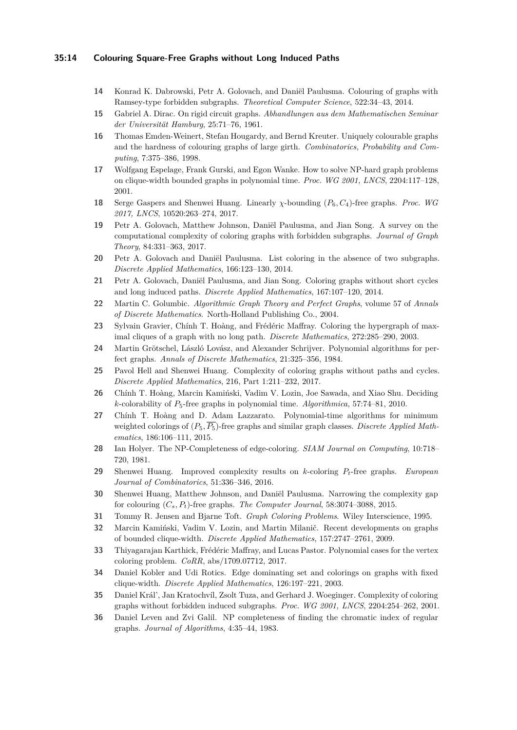## **35:14 Colouring Square-Free Graphs without Long Induced Paths**

- <span id="page-13-10"></span>**14** Konrad K. Dabrowski, Petr A. Golovach, and Daniël Paulusma. Colouring of graphs with Ramsey-type forbidden subgraphs. *Theoretical Computer Science*, 522:34–43, 2014.
- <span id="page-13-20"></span>**15** Gabriel A. Dirac. On rigid circuit graphs. *Abhandlungen aus dem Mathematischen Seminar der Universität Hamburg*, 25:71–76, 1961.
- <span id="page-13-5"></span>**16** Thomas Emden-Weinert, Stefan Hougardy, and Bernd Kreuter. Uniquely colourable graphs and the hardness of colouring graphs of large girth. *Combinatorics, Probability and Computing*, 7:375–386, 1998.
- <span id="page-13-17"></span>**17** Wolfgang Espelage, Frank Gurski, and Egon Wanke. How to solve NP-hard graph problems on clique-width bounded graphs in polynomial time. *Proc. WG 2001, LNCS*, 2204:117–128, 2001.
- <span id="page-13-16"></span>**18** Serge Gaspers and Shenwei Huang. Linearly *χ*-bounding (*P*6*, C*4)-free graphs. *Proc. WG 2017, LNCS*, 10520:263–274, 2017.
- <span id="page-13-4"></span>**19** Petr A. Golovach, Matthew Johnson, Daniël Paulusma, and Jian Song. A survey on the computational complexity of coloring graphs with forbidden subgraphs. *Journal of Graph Theory*, 84:331–363, 2017.
- <span id="page-13-21"></span>**20** Petr A. Golovach and Daniël Paulusma. List coloring in the absence of two subgraphs. *Discrete Applied Mathematics*, 166:123–130, 2014.
- <span id="page-13-15"></span>**21** Petr A. Golovach, Daniël Paulusma, and Jian Song. Coloring graphs without short cycles and long induced paths. *Discrete Applied Mathematics*, 167:107–120, 2014.
- <span id="page-13-0"></span>**22** Martin C. Golumbic. *Algorithmic Graph Theory and Perfect Graphs*, volume 57 of *Annals of Discrete Mathematics*. North-Holland Publishing Co., 2004.
- <span id="page-13-22"></span>**23** Sylvain Gravier, Chính T. Hoàng, and Frédéric Maffray. Coloring the hypergraph of maximal cliques of a graph with no long path. *Discrete Mathematics*, 272:285–290, 2003.
- <span id="page-13-2"></span>**24** Martin Grötschel, László Lovász, and Alexander Schrijver. Polynomial algorithms for perfect graphs. *Annals of Discrete Mathematics*, 21:325–356, 1984.
- <span id="page-13-11"></span>**25** Pavol Hell and Shenwei Huang. Complexity of coloring graphs without paths and cycles. *Discrete Applied Mathematics*, 216, Part 1:211–232, 2017.
- <span id="page-13-8"></span>**26** Chính T. Hoàng, Marcin Kamiński, Vadim V. Lozin, Joe Sawada, and Xiao Shu. Deciding *k*-colorability of *P*5-free graphs in polynomial time. *Algorithmica*, 57:74–81, 2010.
- <span id="page-13-12"></span>**27** Chính T. Hoàng and D. Adam Lazzarato. Polynomial-time algorithms for minimum weighted colorings of  $(P_5, \overline{P_5})$ -free graphs and similar graph classes. *Discrete Applied Mathematics*, 186:106–111, 2015.
- <span id="page-13-6"></span>**28** Ian Holyer. The NP-Completeness of edge-coloring. *SIAM Journal on Computing*, 10:718– 720, 1981.
- <span id="page-13-9"></span>**29** Shenwei Huang. Improved complexity results on *k*-coloring *Pt*-free graphs. *European Journal of Combinatorics*, 51:336–346, 2016.
- <span id="page-13-14"></span>**30** Shenwei Huang, Matthew Johnson, and Daniël Paulusma. Narrowing the complexity gap for colouring  $(C_s, P_t)$ -free graphs. *The Computer Journal*, 58:3074–3088, 2015.
- <span id="page-13-1"></span>**31** Tommy R. Jensen and Bjarne Toft. *Graph Coloring Problems*. Wiley Interscience, 1995.
- <span id="page-13-19"></span>**32** Marcin Kamiński, Vadim V. Lozin, and Martin Milanič. Recent developments on graphs of bounded clique-width. *Discrete Applied Mathematics*, 157:2747–2761, 2009.
- <span id="page-13-13"></span>**33** Thiyagarajan Karthick, Frédéric Maffray, and Lucas Pastor. Polynomial cases for the vertex coloring problem. *CoRR*, abs/1709.07712, 2017.
- <span id="page-13-18"></span>**34** Daniel Kobler and Udi Rotics. Edge dominating set and colorings on graphs with fixed clique-width. *Discrete Applied Mathematics*, 126:197–221, 2003.
- <span id="page-13-3"></span>**35** Daniel Král', Jan Kratochvíl, Zsolt Tuza, and Gerhard J. Woeginger. Complexity of coloring graphs without forbidden induced subgraphs. *Proc. WG 2001, LNCS*, 2204:254–262, 2001.
- <span id="page-13-7"></span>**36** Daniel Leven and Zvi Galil. NP completeness of finding the chromatic index of regular graphs. *Journal of Algorithms*, 4:35–44, 1983.